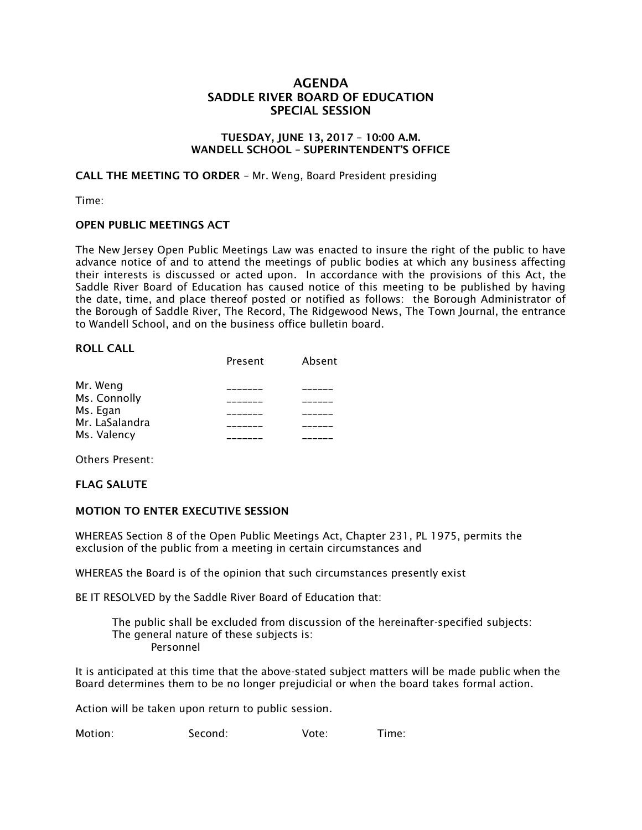# AGENDA SADDLE RIVER BOARD OF EDUCATION SPECIAL SESSION

### TUESDAY, JUNE 13, 2017 – 10:00 A.M. WANDELL SCHOOL – SUPERINTENDENT'S OFFICE

CALL THE MEETING TO ORDER – Mr. Weng, Board President presiding

Time:

### OPEN PUBLIC MEETINGS ACT

The New Jersey Open Public Meetings Law was enacted to insure the right of the public to have advance notice of and to attend the meetings of public bodies at which any business affecting their interests is discussed or acted upon. In accordance with the provisions of this Act, the Saddle River Board of Education has caused notice of this meeting to be published by having the date, time, and place thereof posted or notified as follows: the Borough Administrator of the Borough of Saddle River, The Record, The Ridgewood News, The Town Journal, the entrance to Wandell School, and on the business office bulletin board.

#### ROLL CALL

|                | Present | Absent |
|----------------|---------|--------|
| Mr. Weng       |         |        |
| Ms. Connolly   |         |        |
| Ms. Egan       |         |        |
| Mr. LaSalandra |         |        |
| Ms. Valency    |         |        |

Others Present:

FLAG SALUTE

### MOTION TO ENTER EXECUTIVE SESSION

WHEREAS Section 8 of the Open Public Meetings Act, Chapter 231, PL 1975, permits the exclusion of the public from a meeting in certain circumstances and

WHEREAS the Board is of the opinion that such circumstances presently exist

BE IT RESOLVED by the Saddle River Board of Education that:

 The public shall be excluded from discussion of the hereinafter-specified subjects: The general nature of these subjects is: Personnel

It is anticipated at this time that the above-stated subject matters will be made public when the Board determines them to be no longer prejudicial or when the board takes formal action.

Action will be taken upon return to public session.

Motion: Second: Vote: Time: